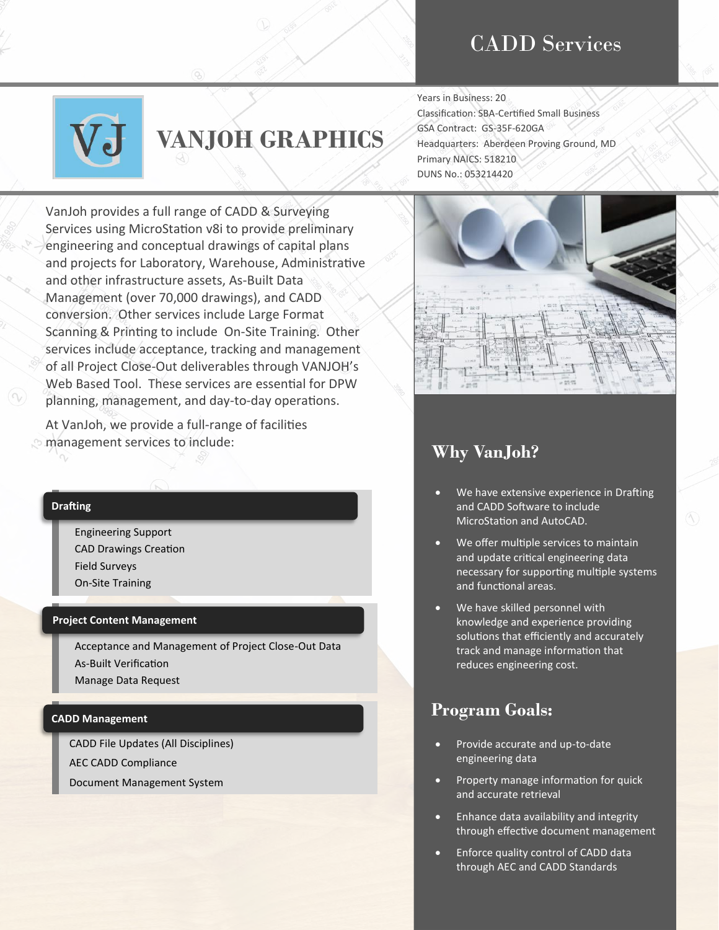## CADD Services



# **VANJOH GRAPHICS**

VanJoh provides a full range of CADD & Surveying Services using MicroStation v8i to provide preliminary engineering and conceptual drawings of capital plans and projects for Laboratory, Warehouse, Administrative and other infrastructure assets, As-Built Data Management (over 70,000 drawings), and CADD conversion. Other services include Large Format Scanning & Printing to include On-Site Training. Other services include acceptance, tracking and management of all Project Close-Out deliverables through VANJOH's Web Based Tool. These services are essential for DPW planning, management, and day-to-day operations.

At VanJoh, we provide a full-range of facilities management services to include:

#### **Drafting**

Engineering Support CAD Drawings Creation Field Surveys On-Site Training

#### **Project Content Management**

Acceptance and Management of Project Close-Out Data As-Built Verification Manage Data Request

#### **CADD Management**

CADD File Updates (All Disciplines) AEC CADD Compliance Document Management System

Classification: SBA-Certified Small Business GSA Contract: GS-35F-620GA Headquarters: Aberdeen Proving Ground, MD Primary NAICS: 518210 DUNS No.: 053214420

Years in Business: 20



## **Why VanJoh?**

- We have extensive experience in Drafting and CADD Software to include MicroStation and AutoCAD.
- We offer multiple services to maintain and update critical engineering data necessary for supporting multiple systems and functional areas.
- We have skilled personnel with knowledge and experience providing solutions that efficiently and accurately track and manage information that reduces engineering cost.

### **Program Goals:**

- Provide accurate and up-to-date engineering data
- Property manage information for quick and accurate retrieval
- Enhance data availability and integrity through effective document management
- Enforce quality control of CADD data through AEC and CADD Standards